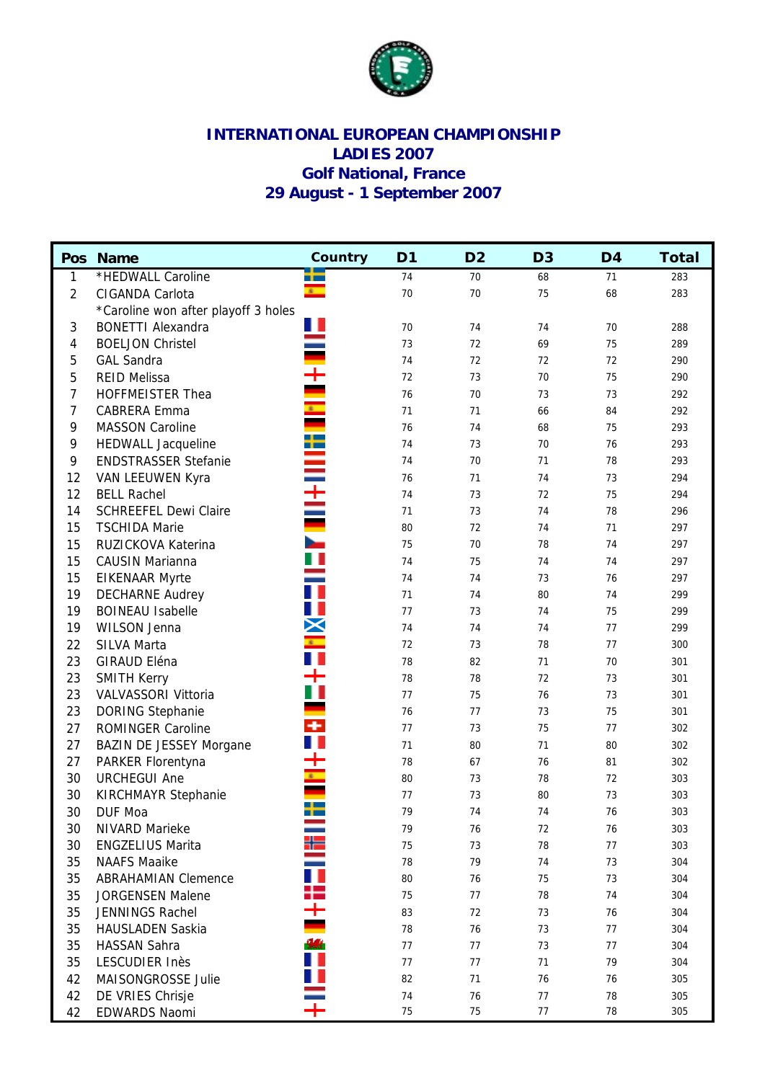

## **INTERNATIONAL EUROPEAN CHAMPIONSHIP LADIES 2007 Golf National, France 29 August - 1 September 2007**

|                | Pos Name                            | Country      | D <sub>1</sub> | D <sub>2</sub> | D <sub>3</sub> | D <sub>4</sub> | <b>Total</b> |
|----------------|-------------------------------------|--------------|----------------|----------------|----------------|----------------|--------------|
| 1              | *HEDWALL Caroline                   | --           | 74             | 70             | 68             | 71             | 283          |
| $\overline{2}$ | CIGANDA Carlota                     | $\mathbf{x}$ | 70             | 70             | 75             | 68             | 283          |
|                | *Caroline won after playoff 3 holes |              |                |                |                |                |              |
| 3              | <b>BONETTI Alexandra</b>            | Ш            | 70             | 74             | 74             | 70             | 288          |
| 4              | <b>BOELJON Christel</b>             | Ξ            | 73             | 72             | 69             | 75             | 289          |
| 5              | <b>GAL Sandra</b>                   |              | 74             | 72             | 72             | 72             | 290          |
| 5              | <b>REID Melissa</b>                 | $\pm$        | 72             | 73             | 70             | 75             | 290          |
| 7              | HOFFMEISTER Thea                    |              | 76             | 70             | 73             | 73             | 292          |
| 7              | CABRERA Emma                        |              | 71             | 71             | 66             | 84             | 292          |
| 9              | <b>MASSON Caroline</b>              |              | 76             | 74             | 68             | 75             | 293          |
| 9              | <b>HEDWALL Jacqueline</b>           | m            | 74             | 73             | 70             | 76             | 293          |
| 9              | <b>ENDSTRASSER Stefanie</b>         | Ξ            | 74             | 70             | 71             | 78             | 293          |
| 12             | VAN LEEUWEN Kyra                    |              | 76             | 71             | 74             | 73             | 294          |
| 12             | <b>BELL Rachel</b>                  | È            | 74             | 73             | 72             | 75             | 294          |
| 14             | <b>SCHREEFEL Dewi Claire</b>        |              | 71             | 73             | 74             | 78             | 296          |
| 15             | <b>TSCHIDA Marie</b>                |              | 80             | 72             | 74             | 71             | 297          |
| 15             | RUZICKOVA Katerina                  | Ξ            | 75             | 70             | 78             | 74             | 297          |
| 15             | <b>CAUSIN Marianna</b>              | H            | 74             | 75             | 74             | 74             | 297          |
| 15             | <b>EIKENAAR Myrte</b>               |              | 74             | 74             | 73             | 76             | 297          |
| 19             | <b>DECHARNE Audrey</b>              | T            | 71             | 74             | 80             | 74             | 299          |
| 19             | <b>BOINEAU Isabelle</b>             | ш            | 77             | 73             | 74             | 75             | 299          |
| 19             | WILSON Jenna                        | X            | 74             | 74             | 74             | 77             | 299          |
| 22             | <b>SILVA Marta</b>                  | $\mathbf{r}$ | 72             | 73             | 78             | 77             | 300          |
| 23             | GIRAUD Eléna                        |              | 78             | 82             | 71             | 70             | 301          |
| 23             | <b>SMITH Kerry</b>                  | ┿            | 78             | 78             | 72             | 73             | 301          |
| 23             | VALVASSORI Vittoria                 |              | 77             | 75             | 76             | 73             | 301          |
| 23             | DORING Stephanie                    |              | 76             | 77             | 73             | 75             | 301          |
| 27             | <b>ROMINGER Caroline</b>            | ٠            | 77             | 73             | 75             | 77             | 302          |
| 27             | <b>BAZIN DE JESSEY Morgane</b>      | H.           | 71             | 80             | 71             | 80             | 302          |
| 27             | PARKER Florentyna                   | ┿            | 78             | 67             | 76             | 81             | 302          |
| 30             | <b>URCHEGUI Ane</b>                 | k.           | 80             | 73             | 78             | 72             | 303          |
| 30             | <b>KIRCHMAYR Stephanie</b>          |              | 77             | 73             | 80             | 73             | 303          |
| 30             | DUF Moa                             | ┿            | 79             | 74             | 74             | 76             | 303          |
| 30             | NIVARD Marieke                      |              | 79             | 76             | 72             | 76             | 303          |
| 30             | <b>ENGZELIUS Marita</b>             |              | 75             | 73             | 78             | 77             | 303          |
| 35             | <b>NAAFS Maaike</b>                 |              | 78             | 79             | 74             | 73             | 304          |
| 35             | <b>ABRAHAMIAN Clemence</b>          |              | 80             | 76             | 75             | 73             | 304          |
| 35             | <b>JORGENSEN Malene</b>             | Ŧ            | 75             | 77             | 78             | 74             | 304          |
| 35             | JENNINGS Rachel                     |              | 83             | 72             | 73             | 76             | 304          |
| 35             | <b>HAUSLADEN Saskia</b>             |              | 78             | 76             | 73             | 77             | 304          |
| 35             | HASSAN Sahra                        |              | 77             | 77             | 73             | 77             | 304          |
| 35             | LESCUDIER Inès                      |              | $77$           | 77             | 71             | 79             | 304          |
| 42             | MAISONGROSSE Julie                  |              | 82             | 71             | 76             | 76             | 305          |
| 42             | DE VRIES Chrisje                    |              | 74             | 76             | $77 \,$        | 78             | 305          |
| 42             | EDWARDS Naomi                       |              | 75             | 75             | $77 \,$        | 78             | 305          |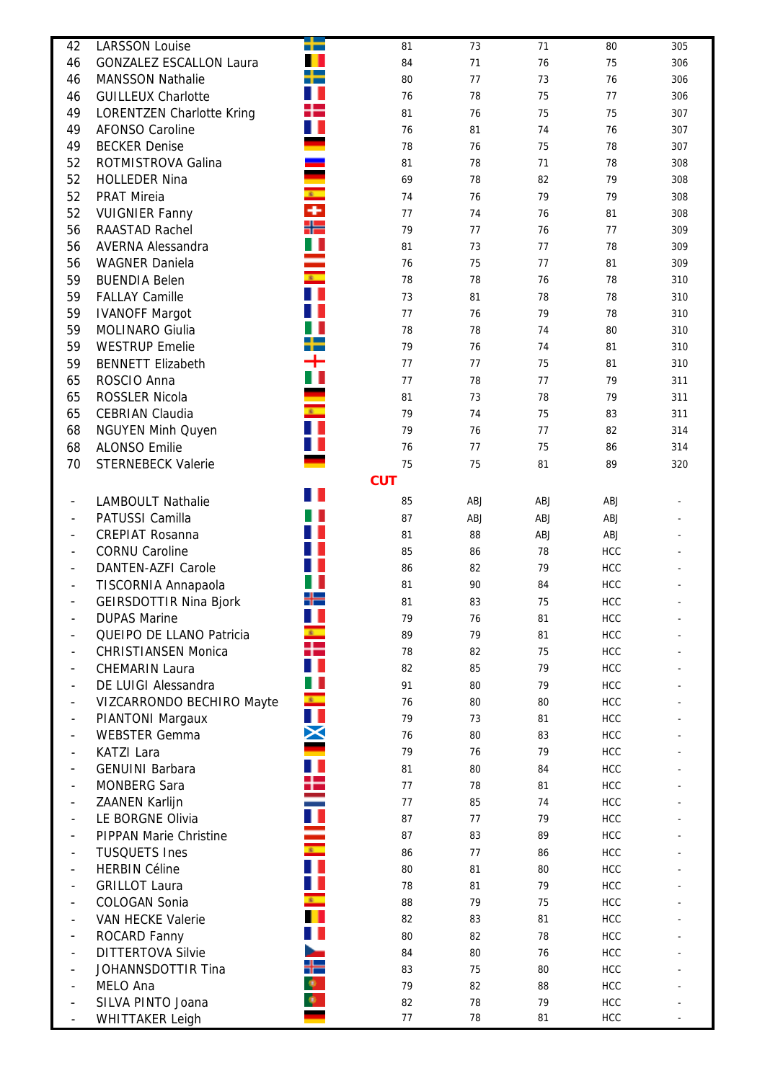| 42                       | <b>LARSSON Louise</b>                                | 72               | 81         | 73       | 71       | 80                | 305        |
|--------------------------|------------------------------------------------------|------------------|------------|----------|----------|-------------------|------------|
| 46                       | <b>GONZALEZ ESCALLON Laura</b>                       |                  | 84         | 71       | 76       | 75                | 306        |
| 46                       | <b>MANSSON Nathalie</b>                              | ╈                | 80         | 77       | 73       | 76                | 306        |
| 46                       | <b>GUILLEUX Charlotte</b>                            | ш                | 76         | 78       | 75       | $77 \,$           | 306        |
| 49                       | <b>LORENTZEN Charlotte Kring</b>                     | ╋                | 81         | 76       | 75       | 75                | 307        |
| 49                       | <b>AFONSO Caroline</b>                               | H                | 76         | 81       | 74       | 76                | 307        |
| 49                       | <b>BECKER Denise</b>                                 |                  | 78         | 76       | 75       | 78                | 307        |
| 52                       | ROTMISTROVA Galina                                   |                  | 81         | 78       | 71       | 78                | 308        |
| 52                       | <b>HOLLEDER Nina</b>                                 |                  | 69         | 78       | 82       | 79                | 308        |
| 52                       | <b>PRAT Mireia</b>                                   | $\mathbf{r}$     | 74         | 76       | 79       | 79                | 308        |
| 52                       | <b>VUIGNIER Fanny</b>                                | ٠                | 77         | 74       | 76       | 81                | 308        |
| 56                       | RAASTAD Rachel                                       | ╬═               | 79         | 77       | 76       | 77                | 309        |
| 56                       | <b>AVERNA Alessandra</b>                             |                  | 81         | 73       | 77       | 78                | 309        |
| 56                       | <b>WAGNER Daniela</b>                                |                  | 76         | 75       | 77       | 81                | 309        |
| 59                       | <b>BUENDIA Belen</b>                                 | Ξ                | 78         | 78       | 76       | 78                | 310        |
| 59                       | <b>FALLAY Camille</b>                                |                  | 73         | 81       | 78       | 78                | 310        |
| 59                       | <b>IVANOFF Margot</b>                                |                  | 77         | 76       | 79       | 78                | 310        |
| 59                       | MOLINARO Giulia                                      |                  | 78         | 78       | 74       | 80                | 310        |
| 59                       | <b>WESTRUP Emelie</b>                                |                  | 79         | 76       | 74       | 81                | 310        |
| 59                       | <b>BENNETT Elizabeth</b>                             | ┿                | 77         | $77 \,$  | 75       | 81                | 310        |
| 65                       | ROSCIO Anna                                          |                  | 77         | 78       | 77       | 79                | 311        |
| 65                       | ROSSLER Nicola                                       |                  | 81         |          | 78       | 79                | 311        |
|                          |                                                      | $\mathbf{r}$     | 79         | 73<br>74 | 75       |                   |            |
| 65<br>68                 | <b>CEBRIAN Claudia</b>                               | H                | 79         |          | $77$     | 83<br>82          | 311        |
| 68                       | <b>NGUYEN Minh Quyen</b><br><b>ALONSO Emilie</b>     | ш                | 76         | 76<br>77 | 75       | 86                | 314<br>314 |
| 70                       | <b>STERNEBECK Valerie</b>                            |                  | 75         | 75       | 81       | 89                | 320        |
|                          |                                                      |                  | <b>CUT</b> |          |          |                   |            |
|                          |                                                      | ш                |            |          |          |                   |            |
| $\overline{\phantom{a}}$ | <b>LAMBOULT Nathalie</b>                             |                  | 85         | ABJ      | ABJ      | ABJ               | ٠          |
|                          | PATUSSI Camilla                                      |                  | 87         | ABJ      | ABJ      | ABJ               |            |
|                          | <b>CREPIAT Rosanna</b>                               |                  | 81         | 88       | ABJ      | ABJ               |            |
|                          | <b>CORNU Caroline</b>                                |                  | 85         | 86       | 78       | <b>HCC</b>        |            |
| $\overline{\phantom{a}}$ | <b>DANTEN-AZFI Carole</b>                            |                  | 86         | 82       | 79       | <b>HCC</b>        |            |
| $\overline{\phantom{a}}$ | TISCORNIA Annapaola                                  | ╬                | 81<br>81   | 90       | 84<br>75 | <b>HCC</b>        |            |
| $\overline{\phantom{a}}$ | <b>GEIRSDOTTIR Nina Bjork</b><br><b>DUPAS Marine</b> | ш                | 79         | 83<br>76 |          | <b>HCC</b>        |            |
|                          | QUEIPO DE LLANO Patricia                             |                  | 89         | 79       | 81<br>81 | HCC<br><b>HCC</b> |            |
|                          | CHRISTIANSEN Monica                                  | ╊                | 78         | 82       | 75       | <b>HCC</b>        |            |
|                          | <b>CHEMARIN Laura</b>                                |                  | 82         | 85       | 79       | <b>HCC</b>        |            |
|                          | DE LUIGI Alessandra                                  | H.               | 91         | 80       | 79       | <b>HCC</b>        |            |
|                          | VIZCARRONDO BECHIRO Mayte                            | $\mathbf{s}$     | 76         | 80       | 80       | HCC               |            |
|                          | PIANTONI Margaux                                     | H E              | 79         | 73       | 81       | HCC               |            |
|                          | <b>WEBSTER Gemma</b>                                 | X                | 76         | 80       | 83       | HCC               |            |
|                          | <b>KATZI Lara</b>                                    |                  | 79         | 76       | 79       | HCC               |            |
|                          | <b>GENUINI Barbara</b>                               |                  | 81         | 80       | 84       | <b>HCC</b>        |            |
|                          | <b>MONBERG Sara</b>                                  | ╄                | 77         | 78       | 81       | HCC               |            |
|                          | ZAANEN Karlijn                                       |                  | 77         | 85       | 74       | HCC               |            |
|                          | LE BORGNE Olivia                                     |                  | 87         | 77       | 79       | HCC               |            |
|                          | <b>PIPPAN Marie Christine</b>                        |                  | 87         | 83       | 89       | HCC               |            |
|                          | <b>TUSQUETS Ines</b>                                 | $\mathbf{z}$ .   | 86         | 77       | 86       | HCC               |            |
|                          | <b>HERBIN Céline</b>                                 | T.               | 80         | 81       | 80       | <b>HCC</b>        |            |
|                          | <b>GRILLOT Laura</b>                                 | Ш                | 78         | 81       | 79       | <b>HCC</b>        |            |
|                          | COLOGAN Sonia                                        | $\mathbf{z}$     | 88         | 79       | 75       | HCC               |            |
|                          | VAN HECKE Valerie                                    | ш                | 82         | 83       | 81       | HCC               |            |
|                          | ROCARD Fanny                                         |                  | 80         | 82       | 78       | HCC               |            |
|                          | <b>DITTERTOVA Silvie</b>                             | <b>Septiment</b> | 84         | 80       | 76       | HCC               |            |
|                          | JOHANNSDOTTIR Tina                                   | ╬                | 83         | 75       | 80       | <b>HCC</b>        |            |
|                          | MELO Ana                                             | ۰                | 79         | 82       | 88       | <b>HCC</b>        |            |
|                          | SILVA PINTO Joana                                    |                  | 82         | 78       | 79       | HCC               |            |
|                          | <b>WHITTAKER Leigh</b>                               |                  | 77         | 78       | 81       | HCC               |            |